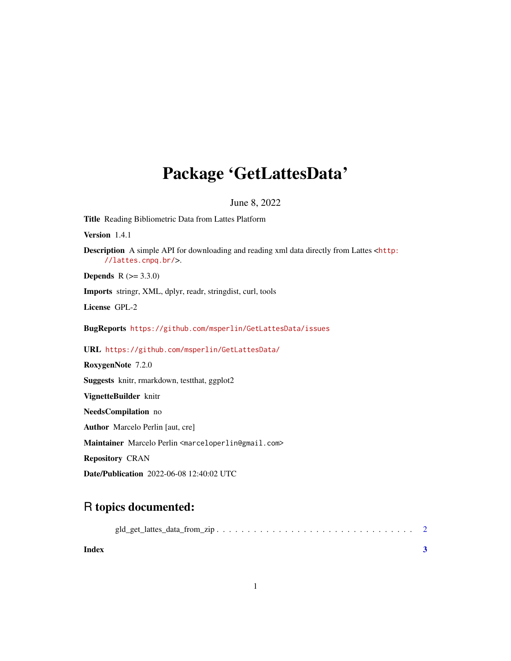## Package 'GetLattesData'

#### June 8, 2022

Title Reading Bibliometric Data from Lattes Platform Version 1.4.1 Description A simple API for downloading and reading xml data directly from Lattes <[http:](http://lattes.cnpq.br/) [//lattes.cnpq.br/](http://lattes.cnpq.br/)>. **Depends**  $R (= 3.3.0)$ Imports stringr, XML, dplyr, readr, stringdist, curl, tools License GPL-2 BugReports <https://github.com/msperlin/GetLattesData/issues> URL <https://github.com/msperlin/GetLattesData/> RoxygenNote 7.2.0 Suggests knitr, rmarkdown, testthat, ggplot2 VignetteBuilder knitr NeedsCompilation no Author Marcelo Perlin [aut, cre] Maintainer Marcelo Perlin <marceloperlin@gmail.com> Repository CRAN Date/Publication 2022-06-08 12:40:02 UTC

### R topics documented:

| Index |  |
|-------|--|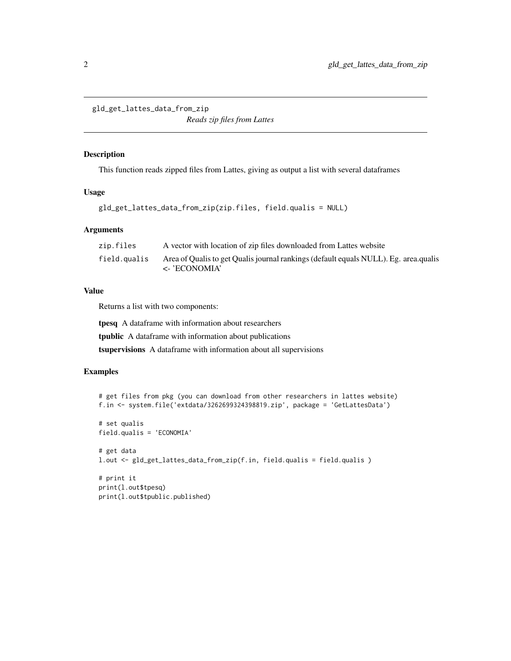<span id="page-1-0"></span>gld\_get\_lattes\_data\_from\_zip

*Reads zip files from Lattes*

#### Description

This function reads zipped files from Lattes, giving as output a list with several dataframes

#### Usage

```
gld_get_lattes_data_from_zip(zip.files, field.qualis = NULL)
```
#### Arguments

| zip.files    | A vector with location of zip files downloaded from Lattes website                                            |
|--------------|---------------------------------------------------------------------------------------------------------------|
| field.qualis | Area of Qualis to get Qualis journal rankings (default equals NULL). Eg. area qualis<br>$\langle$ - ECONOMIA' |

#### Value

Returns a list with two components:

tpesq A dataframe with information about researchers

tpublic A dataframe with information about publications

tsupervisions A dataframe with information about all supervisions

#### Examples

```
# get files from pkg (you can download from other researchers in lattes website)
f.in <- system.file('extdata/3262699324398819.zip', package = 'GetLattesData')
# set qualis
field.qualis = 'ECONOMIA'
# get data
l.out <- gld_get_lattes_data_from_zip(f.in, field.qualis = field.qualis )
# print it
print(l.out$tpesq)
print(l.out$tpublic.published)
```